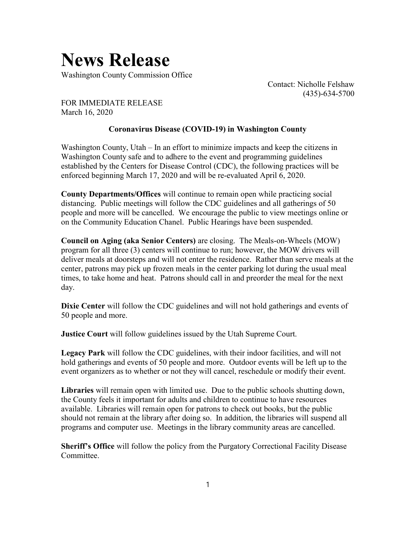## News Release

Washington County Commission Office

Contact: Nicholle Felshaw (435)-634-5700

FOR IMMEDIATE RELEASE March 16, 2020

## Coronavirus Disease (COVID-19) in Washington County

Washington County, Utah – In an effort to minimize impacts and keep the citizens in Washington County safe and to adhere to the event and programming guidelines established by the Centers for Disease Control (CDC), the following practices will be enforced beginning March 17, 2020 and will be re-evaluated April 6, 2020.

County Departments/Offices will continue to remain open while practicing social distancing. Public meetings will follow the CDC guidelines and all gatherings of 50 people and more will be cancelled. We encourage the public to view meetings online or on the Community Education Chanel. Public Hearings have been suspended.

Council on Aging (aka Senior Centers) are closing. The Meals-on-Wheels (MOW) program for all three (3) centers will continue to run; however, the MOW drivers will deliver meals at doorsteps and will not enter the residence. Rather than serve meals at the center, patrons may pick up frozen meals in the center parking lot during the usual meal times, to take home and heat. Patrons should call in and preorder the meal for the next day.

Dixie Center will follow the CDC guidelines and will not hold gatherings and events of 50 people and more.

**Justice Court** will follow guidelines issued by the Utah Supreme Court.

Legacy Park will follow the CDC guidelines, with their indoor facilities, and will not hold gatherings and events of 50 people and more. Outdoor events will be left up to the event organizers as to whether or not they will cancel, reschedule or modify their event.

Libraries will remain open with limited use. Due to the public schools shutting down, the County feels it important for adults and children to continue to have resources available. Libraries will remain open for patrons to check out books, but the public should not remain at the library after doing so. In addition, the libraries will suspend all programs and computer use. Meetings in the library community areas are cancelled.

Sheriff's Office will follow the policy from the Purgatory Correctional Facility Disease Committee.